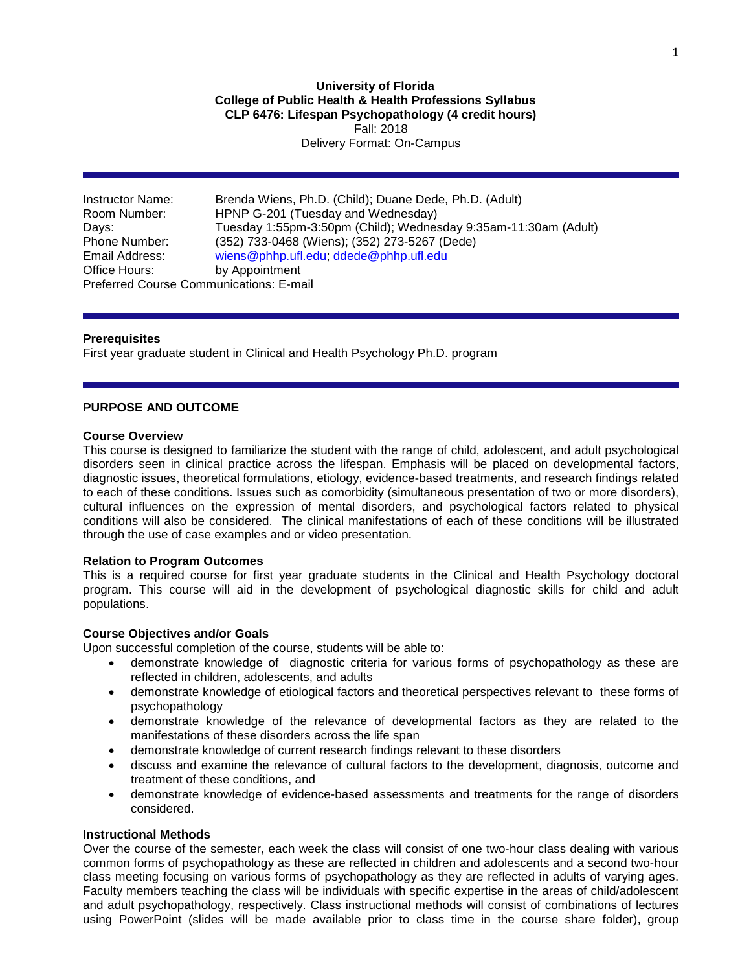**University of Florida College of Public Health & Health Professions Syllabus CLP 6476: Lifespan Psychopathology (4 credit hours)** Fall: 2018 Delivery Format: On-Campus

Instructor Name: Brenda Wiens, Ph.D. (Child); Duane Dede, Ph.D. (Adult) Room Number: HPNP G-201 (Tuesday and Wednesday) Days: Tuesday 1:55pm-3:50pm (Child); Wednesday 9:35am-11:30am (Adult) (352) 733-0468 (Wiens); (352) 273-5267 (Dede) Email Address: [wiens@phhp.ufl.edu;](mailto:wiens@phhp.ufl.edu) [ddede@phhp.ufl.edu](mailto:ddede@phhp.ufl.edu) Office Hours: by Appointment Preferred Course Communications: E-mail

**Prerequisites**

First year graduate student in Clinical and Health Psychology Ph.D. program

#### **PURPOSE AND OUTCOME**

#### **Course Overview**

This course is designed to familiarize the student with the range of child, adolescent, and adult psychological disorders seen in clinical practice across the lifespan. Emphasis will be placed on developmental factors, diagnostic issues, theoretical formulations, etiology, evidence-based treatments, and research findings related to each of these conditions. Issues such as comorbidity (simultaneous presentation of two or more disorders), cultural influences on the expression of mental disorders, and psychological factors related to physical conditions will also be considered. The clinical manifestations of each of these conditions will be illustrated through the use of case examples and or video presentation.

### **Relation to Program Outcomes**

This is a required course for first year graduate students in the Clinical and Health Psychology doctoral program. This course will aid in the development of psychological diagnostic skills for child and adult populations.

### **Course Objectives and/or Goals**

Upon successful completion of the course, students will be able to:

- demonstrate knowledge of diagnostic criteria for various forms of psychopathology as these are reflected in children, adolescents, and adults
- demonstrate knowledge of etiological factors and theoretical perspectives relevant to these forms of psychopathology
- demonstrate knowledge of the relevance of developmental factors as they are related to the manifestations of these disorders across the life span
- demonstrate knowledge of current research findings relevant to these disorders
- discuss and examine the relevance of cultural factors to the development, diagnosis, outcome and treatment of these conditions, and
- demonstrate knowledge of evidence-based assessments and treatments for the range of disorders considered.

### **Instructional Methods**

Over the course of the semester, each week the class will consist of one two-hour class dealing with various common forms of psychopathology as these are reflected in children and adolescents and a second two-hour class meeting focusing on various forms of psychopathology as they are reflected in adults of varying ages. Faculty members teaching the class will be individuals with specific expertise in the areas of child/adolescent and adult psychopathology, respectively. Class instructional methods will consist of combinations of lectures using PowerPoint (slides will be made available prior to class time in the course share folder), group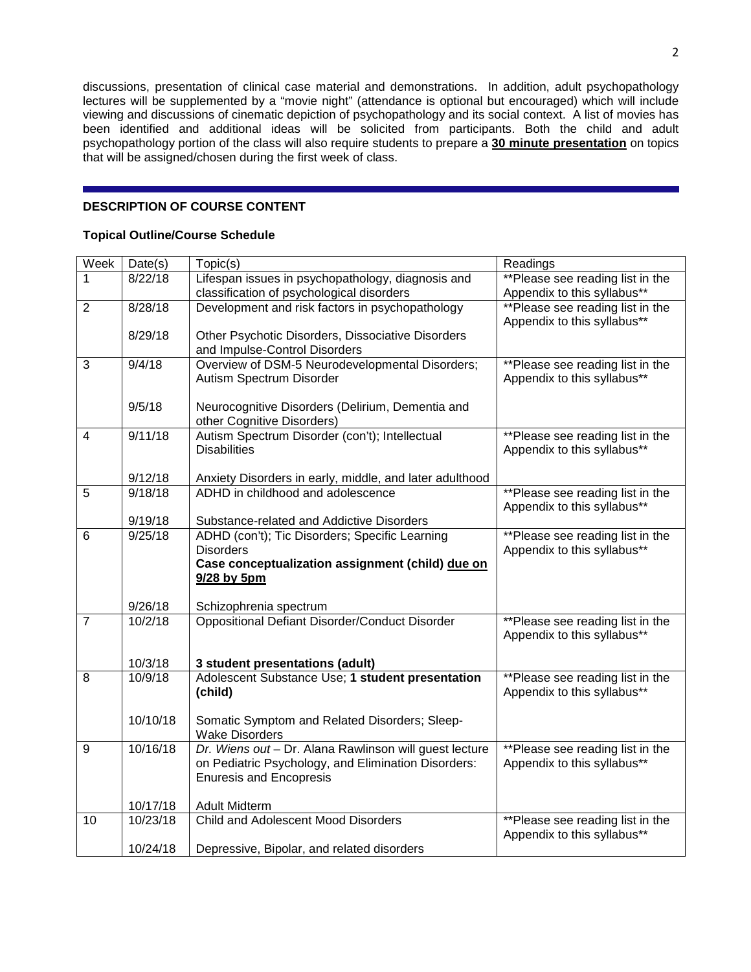discussions, presentation of clinical case material and demonstrations. In addition, adult psychopathology lectures will be supplemented by a "movie night" (attendance is optional but encouraged) which will include viewing and discussions of cinematic depiction of psychopathology and its social context. A list of movies has been identified and additional ideas will be solicited from participants. Both the child and adult psychopathology portion of the class will also require students to prepare a **30 minute presentation** on topics that will be assigned/chosen during the first week of class.

# **DESCRIPTION OF COURSE CONTENT**

## **Topical Outline/Course Schedule**

| Week                    | Date(s)              | Topic(s)                                                                                     | Readings                         |
|-------------------------|----------------------|----------------------------------------------------------------------------------------------|----------------------------------|
| 1                       | 8/22/18              | Lifespan issues in psychopathology, diagnosis and                                            | **Please see reading list in the |
|                         |                      | classification of psychological disorders                                                    | Appendix to this syllabus**      |
| $\overline{2}$          | 8/28/18              | Development and risk factors in psychopathology                                              | **Please see reading list in the |
|                         |                      |                                                                                              | Appendix to this syllabus**      |
|                         | 8/29/18              | Other Psychotic Disorders, Dissociative Disorders                                            |                                  |
|                         |                      | and Impulse-Control Disorders                                                                |                                  |
| 3                       | 9/4/18               | Overview of DSM-5 Neurodevelopmental Disorders;                                              | **Please see reading list in the |
|                         |                      | Autism Spectrum Disorder                                                                     | Appendix to this syllabus**      |
|                         |                      |                                                                                              |                                  |
|                         | 9/5/18               | Neurocognitive Disorders (Delirium, Dementia and                                             |                                  |
|                         |                      | other Cognitive Disorders)                                                                   |                                  |
| $\overline{\mathbf{4}}$ | 9/11/18              | Autism Spectrum Disorder (con't); Intellectual                                               | **Please see reading list in the |
|                         |                      | <b>Disabilities</b>                                                                          | Appendix to this syllabus**      |
|                         |                      |                                                                                              |                                  |
|                         | 9/12/18<br>9/18/18   | Anxiety Disorders in early, middle, and later adulthood<br>ADHD in childhood and adolescence |                                  |
| 5                       |                      |                                                                                              | **Please see reading list in the |
|                         | 9/19/18              |                                                                                              | Appendix to this syllabus**      |
| 6                       | 9/25/18              | Substance-related and Addictive Disorders<br>ADHD (con't); Tic Disorders; Specific Learning  | **Please see reading list in the |
|                         |                      | <b>Disorders</b>                                                                             | Appendix to this syllabus**      |
|                         |                      | Case conceptualization assignment (child) due on                                             |                                  |
|                         |                      | 9/28 by 5pm                                                                                  |                                  |
|                         |                      |                                                                                              |                                  |
|                         | 9/26/18              | Schizophrenia spectrum                                                                       |                                  |
| $\overline{7}$          | 10/2/18              | <b>Oppositional Defiant Disorder/Conduct Disorder</b>                                        | **Please see reading list in the |
|                         |                      |                                                                                              | Appendix to this syllabus**      |
|                         |                      |                                                                                              |                                  |
|                         | 10/3/18              | 3 student presentations (adult)                                                              |                                  |
| 8                       | 10/9/18              | Adolescent Substance Use; 1 student presentation                                             | **Please see reading list in the |
|                         |                      | (child)                                                                                      | Appendix to this syllabus**      |
|                         |                      |                                                                                              |                                  |
|                         | 10/10/18             | Somatic Symptom and Related Disorders; Sleep-                                                |                                  |
|                         |                      | <b>Wake Disorders</b>                                                                        |                                  |
| 9                       | 10/16/18             | Dr. Wiens out - Dr. Alana Rawlinson will guest lecture                                       | **Please see reading list in the |
|                         |                      | on Pediatric Psychology, and Elimination Disorders:                                          | Appendix to this syllabus**      |
|                         |                      | <b>Enuresis and Encopresis</b>                                                               |                                  |
|                         |                      |                                                                                              |                                  |
|                         | 10/17/18<br>10/23/18 | <b>Adult Midterm</b>                                                                         |                                  |
| 10                      |                      | <b>Child and Adolescent Mood Disorders</b>                                                   | **Please see reading list in the |
|                         |                      |                                                                                              | Appendix to this syllabus**      |
|                         | 10/24/18             | Depressive, Bipolar, and related disorders                                                   |                                  |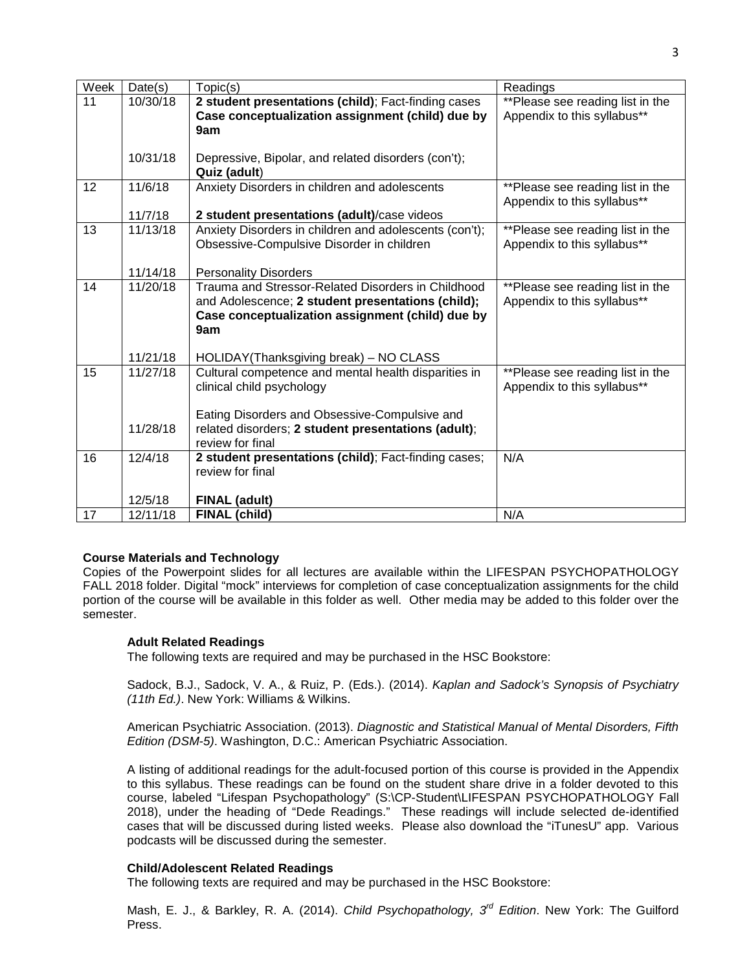| Week | Date(s)  | Topic(s)                                               | Readings                         |
|------|----------|--------------------------------------------------------|----------------------------------|
| 11   | 10/30/18 | 2 student presentations (child); Fact-finding cases    | **Please see reading list in the |
|      |          | Case conceptualization assignment (child) due by       | Appendix to this syllabus**      |
|      |          | 9am                                                    |                                  |
|      |          |                                                        |                                  |
|      | 10/31/18 | Depressive, Bipolar, and related disorders (con't);    |                                  |
|      |          | Quiz (adult)                                           |                                  |
| 12   | 11/6/18  | Anxiety Disorders in children and adolescents          | **Please see reading list in the |
|      |          |                                                        | Appendix to this syllabus**      |
|      | 11/7/18  | 2 student presentations (adult)/case videos            |                                  |
| 13   | 11/13/18 | Anxiety Disorders in children and adolescents (con't); | **Please see reading list in the |
|      |          | Obsessive-Compulsive Disorder in children              | Appendix to this syllabus**      |
|      |          |                                                        |                                  |
|      | 11/14/18 | <b>Personality Disorders</b>                           |                                  |
| 14   | 11/20/18 | Trauma and Stressor-Related Disorders in Childhood     | **Please see reading list in the |
|      |          | and Adolescence; 2 student presentations (child);      | Appendix to this syllabus**      |
|      |          | Case conceptualization assignment (child) due by       |                                  |
|      |          | 9am                                                    |                                  |
|      | 11/21/18 | HOLIDAY(Thanksgiving break) - NO CLASS                 |                                  |
| 15   | 11/27/18 | Cultural competence and mental health disparities in   | **Please see reading list in the |
|      |          | clinical child psychology                              | Appendix to this syllabus**      |
|      |          |                                                        |                                  |
|      |          | Eating Disorders and Obsessive-Compulsive and          |                                  |
|      | 11/28/18 | related disorders; 2 student presentations (adult);    |                                  |
|      |          | review for final                                       |                                  |
| 16   | 12/4/18  | 2 student presentations (child); Fact-finding cases;   | N/A                              |
|      |          | review for final                                       |                                  |
|      |          |                                                        |                                  |
|      | 12/5/18  | <b>FINAL (adult)</b>                                   |                                  |
| 17   | 12/11/18 | FINAL (child)                                          | N/A                              |

## **Course Materials and Technology**

Copies of the Powerpoint slides for all lectures are available within the LIFESPAN PSYCHOPATHOLOGY FALL 2018 folder. Digital "mock" interviews for completion of case conceptualization assignments for the child portion of the course will be available in this folder as well. Other media may be added to this folder over the semester.

## **Adult Related Readings**

The following texts are required and may be purchased in the HSC Bookstore:

Sadock, B.J., Sadock, V. A., & Ruiz, P. (Eds.). (2014). *Kaplan and Sadock's Synopsis of Psychiatry (11th Ed.)*. New York: Williams & Wilkins.

American Psychiatric Association. (2013). *Diagnostic and Statistical Manual of Mental Disorders, Fifth Edition (DSM-5)*. Washington, D.C.: American Psychiatric Association.

A listing of additional readings for the adult-focused portion of this course is provided in the Appendix to this syllabus. These readings can be found on the student share drive in a folder devoted to this course, labeled "Lifespan Psychopathology" (S:\CP-Student\LIFESPAN PSYCHOPATHOLOGY Fall 2018), under the heading of "Dede Readings." These readings will include selected de-identified cases that will be discussed during listed weeks. Please also download the "iTunesU" app. Various podcasts will be discussed during the semester.

# **Child/Adolescent Related Readings**

The following texts are required and may be purchased in the HSC Bookstore:

Mash, E. J., & Barkley, R. A. (2014). *Child Psychopathology, 3rd Edition*. New York: The Guilford Press.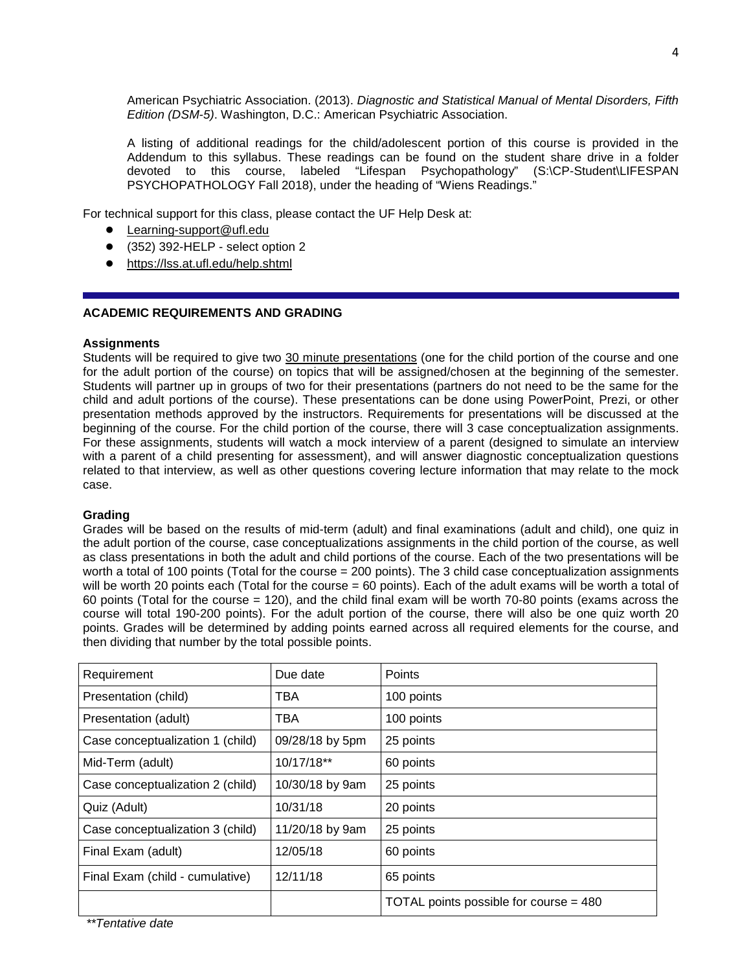American Psychiatric Association. (2013). *Diagnostic and Statistical Manual of Mental Disorders, Fifth Edition (DSM-5)*. Washington, D.C.: American Psychiatric Association.

A listing of additional readings for the child/adolescent portion of this course is provided in the Addendum to this syllabus. These readings can be found on the student share drive in a folder devoted to this course, labeled "Lifespan Psychopathology" (S:\CP-Student\LIFESPAN PSYCHOPATHOLOGY Fall 2018), under the heading of "Wiens Readings."

For technical support for this class, please contact the UF Help Desk at:

- Learning-support@ufl.edu
- (352) 392-HELP select option 2
- <https://lss.at.ufl.edu/help.shtml>

### **ACADEMIC REQUIREMENTS AND GRADING**

### **Assignments**

Students will be required to give two 30 minute presentations (one for the child portion of the course and one for the adult portion of the course) on topics that will be assigned/chosen at the beginning of the semester. Students will partner up in groups of two for their presentations (partners do not need to be the same for the child and adult portions of the course). These presentations can be done using PowerPoint, Prezi, or other presentation methods approved by the instructors. Requirements for presentations will be discussed at the beginning of the course. For the child portion of the course, there will 3 case conceptualization assignments. For these assignments, students will watch a mock interview of a parent (designed to simulate an interview with a parent of a child presenting for assessment), and will answer diagnostic conceptualization questions related to that interview, as well as other questions covering lecture information that may relate to the mock case.

#### **Grading**

Grades will be based on the results of mid-term (adult) and final examinations (adult and child), one quiz in the adult portion of the course, case conceptualizations assignments in the child portion of the course, as well as class presentations in both the adult and child portions of the course. Each of the two presentations will be worth a total of 100 points (Total for the course = 200 points). The 3 child case conceptualization assignments will be worth 20 points each (Total for the course = 60 points). Each of the adult exams will be worth a total of 60 points (Total for the course = 120), and the child final exam will be worth 70-80 points (exams across the course will total 190-200 points). For the adult portion of the course, there will also be one quiz worth 20 points. Grades will be determined by adding points earned across all required elements for the course, and then dividing that number by the total possible points.

| Requirement                      | Due date        | Points                                 |
|----------------------------------|-----------------|----------------------------------------|
| Presentation (child)             | TBA             | 100 points                             |
| Presentation (adult)             | <b>TBA</b>      | 100 points                             |
| Case conceptualization 1 (child) | 09/28/18 by 5pm | 25 points                              |
| Mid-Term (adult)                 | 10/17/18**      | 60 points                              |
| Case conceptualization 2 (child) | 10/30/18 by 9am | 25 points                              |
| Quiz (Adult)                     | 10/31/18        | 20 points                              |
| Case conceptualization 3 (child) | 11/20/18 by 9am | 25 points                              |
| Final Exam (adult)               | 12/05/18        | 60 points                              |
| Final Exam (child - cumulative)  | 12/11/18        | 65 points                              |
|                                  |                 | TOTAL points possible for course = 480 |

*\*\*Tentative date*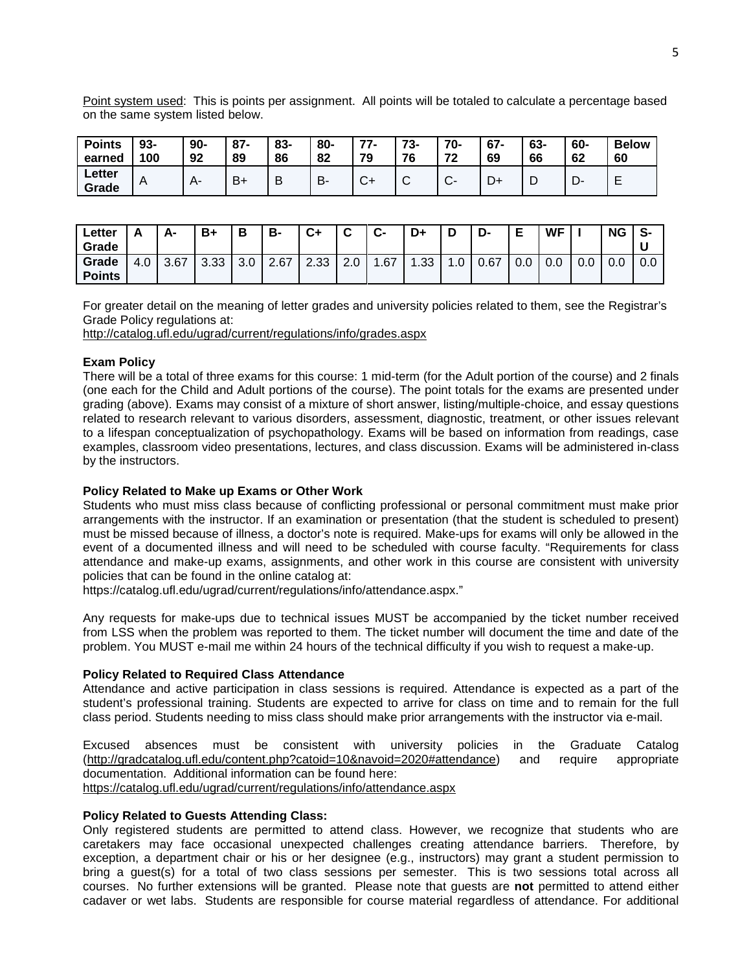Point system used: This is points per assignment. All points will be totaled to calculate a percentage based on the same system listed below.

| <b>Points</b>   | 93- | $90-$        | $87 -$ | 83- | 80- | 77           | 70 | 70- | $67 -$ | 63- | 60- | <b>Below</b> |
|-----------------|-----|--------------|--------|-----|-----|--------------|----|-----|--------|-----|-----|--------------|
| earned          | 100 | 92           | 89     | 86  | 82  | 79           | 76 | 72  | 69     | 66  | 62  | 60           |
| Letter<br>Grade | A   | $\mathsf{A}$ | $B+$   |     | В-  | $\sim$<br>◡┑ |    |     | ∼      | ┕   | −   | -            |

| ∟etter<br>Grade        |     | Δ.   | B+   | В   | в-   | C+   | ◠<br>ັ        | ◠<br>U- | D+   |     | D-   | F<br>► | WF  |     | <b>NG</b> | S-  |
|------------------------|-----|------|------|-----|------|------|---------------|---------|------|-----|------|--------|-----|-----|-----------|-----|
| Grade<br><b>Points</b> | 4.0 | 3.67 | 3.33 | 3.0 | 2.67 | 2.33 | $\sim$<br>2.0 | .67     | 1.33 | 1.0 | 0.67 | 0.0    | 0.0 | 0.0 | v.v       | 0.0 |

For greater detail on the meaning of letter grades and university policies related to them, see the Registrar's Grade Policy regulations at:

<http://catalog.ufl.edu/ugrad/current/regulations/info/grades.aspx>

#### **Exam Policy**

There will be a total of three exams for this course: 1 mid-term (for the Adult portion of the course) and 2 finals (one each for the Child and Adult portions of the course). The point totals for the exams are presented under grading (above). Exams may consist of a mixture of short answer, listing/multiple-choice, and essay questions related to research relevant to various disorders, assessment, diagnostic, treatment, or other issues relevant to a lifespan conceptualization of psychopathology. Exams will be based on information from readings, case examples, classroom video presentations, lectures, and class discussion. Exams will be administered in-class by the instructors.

#### **Policy Related to Make up Exams or Other Work**

Students who must miss class because of conflicting professional or personal commitment must make prior arrangements with the instructor. If an examination or presentation (that the student is scheduled to present) must be missed because of illness, a doctor's note is required. Make-ups for exams will only be allowed in the event of a documented illness and will need to be scheduled with course faculty. "Requirements for class attendance and make-up exams, assignments, and other work in this course are consistent with university policies that can be found in the online catalog at:

https://catalog.ufl.edu/ugrad/current/regulations/info/attendance.aspx."

Any requests for make-ups due to technical issues MUST be accompanied by the ticket number received from LSS when the problem was reported to them. The ticket number will document the time and date of the problem. You MUST e-mail me within 24 hours of the technical difficulty if you wish to request a make-up.

## **Policy Related to Required Class Attendance**

Attendance and active participation in class sessions is required. Attendance is expected as a part of the student's professional training. Students are expected to arrive for class on time and to remain for the full class period. Students needing to miss class should make prior arrangements with the instructor via e-mail.

Excused absences must be consistent with university policies in the Graduate Catalog [\(http://gradcatalog.ufl.edu/content.php?catoid=10&navoid=2020#attendance\)](http://gradcatalog.ufl.edu/content.php?catoid=10&navoid=2020#attendance) and require appropriate documentation. Additional information can be found here: <https://catalog.ufl.edu/ugrad/current/regulations/info/attendance.aspx>

### **Policy Related to Guests Attending Class:**

Only registered students are permitted to attend class. However, we recognize that students who are caretakers may face occasional unexpected challenges creating attendance barriers. Therefore, by exception, a department chair or his or her designee (e.g., instructors) may grant a student permission to bring a guest(s) for a total of two class sessions per semester. This is two sessions total across all courses. No further extensions will be granted. Please note that guests are **not** permitted to attend either cadaver or wet labs. Students are responsible for course material regardless of attendance. For additional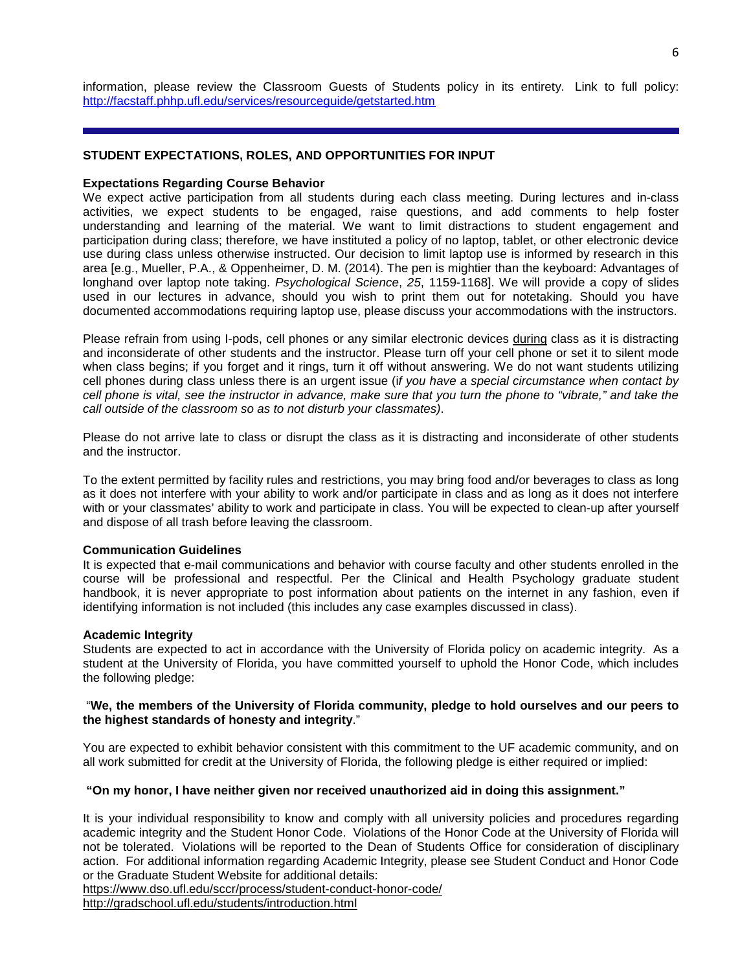information, please review the Classroom Guests of Students policy in its entirety. Link to full policy: <http://facstaff.phhp.ufl.edu/services/resourceguide/getstarted.htm>

## **STUDENT EXPECTATIONS, ROLES, AND OPPORTUNITIES FOR INPUT**

### **Expectations Regarding Course Behavior**

We expect active participation from all students during each class meeting. During lectures and in-class activities, we expect students to be engaged, raise questions, and add comments to help foster understanding and learning of the material. We want to limit distractions to student engagement and participation during class; therefore, we have instituted a policy of no laptop, tablet, or other electronic device use during class unless otherwise instructed. Our decision to limit laptop use is informed by research in this area [e.g., Mueller, P.A., & Oppenheimer, D. M. (2014). The pen is mightier than the keyboard: Advantages of longhand over laptop note taking. *Psychological Science*, *25*, 1159-1168]. We will provide a copy of slides used in our lectures in advance, should you wish to print them out for notetaking. Should you have documented accommodations requiring laptop use, please discuss your accommodations with the instructors.

Please refrain from using I-pods, cell phones or any similar electronic devices during class as it is distracting and inconsiderate of other students and the instructor. Please turn off your cell phone or set it to silent mode when class begins; if you forget and it rings, turn it off without answering. We do not want students utilizing cell phones during class unless there is an urgent issue (i*f you have a special circumstance when contact by cell phone is vital, see the instructor in advance, make sure that you turn the phone to "vibrate," and take the call outside of the classroom so as to not disturb your classmates)*.

Please do not arrive late to class or disrupt the class as it is distracting and inconsiderate of other students and the instructor.

To the extent permitted by facility rules and restrictions, you may bring food and/or beverages to class as long as it does not interfere with your ability to work and/or participate in class and as long as it does not interfere with or your classmates' ability to work and participate in class. You will be expected to clean-up after yourself and dispose of all trash before leaving the classroom.

## **Communication Guidelines**

It is expected that e-mail communications and behavior with course faculty and other students enrolled in the course will be professional and respectful. Per the Clinical and Health Psychology graduate student handbook, it is never appropriate to post information about patients on the internet in any fashion, even if identifying information is not included (this includes any case examples discussed in class).

## **Academic Integrity**

Students are expected to act in accordance with the University of Florida policy on academic integrity. As a student at the University of Florida, you have committed yourself to uphold the Honor Code, which includes the following pledge:

### "**We, the members of the University of Florida community, pledge to hold ourselves and our peers to the highest standards of honesty and integrity**."

You are expected to exhibit behavior consistent with this commitment to the UF academic community, and on all work submitted for credit at the University of Florida, the following pledge is either required or implied:

## **"On my honor, I have neither given nor received unauthorized aid in doing this assignment."**

It is your individual responsibility to know and comply with all university policies and procedures regarding academic integrity and the Student Honor Code. Violations of the Honor Code at the University of Florida will not be tolerated. Violations will be reported to the Dean of Students Office for consideration of disciplinary action. For additional information regarding Academic Integrity, please see Student Conduct and Honor Code or the Graduate Student Website for additional details:

<https://www.dso.ufl.edu/sccr/process/student-conduct-honor-code/>

<http://gradschool.ufl.edu/students/introduction.html>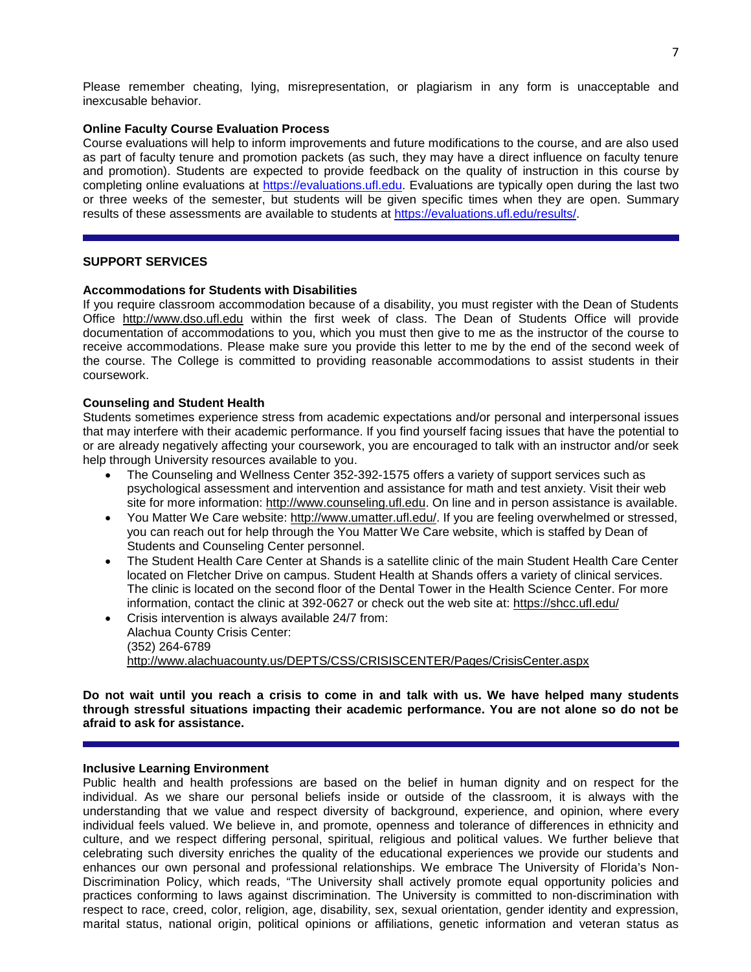## **Online Faculty Course Evaluation Process**

Course evaluations will help to inform improvements and future modifications to the course, and are also used as part of faculty tenure and promotion packets (as such, they may have a direct influence on faculty tenure and promotion). Students are expected to provide feedback on the quality of instruction in this course by completing online evaluations at [https://evaluations.ufl.edu.](https://evaluations.ufl.edu/) Evaluations are typically open during the last two or three weeks of the semester, but students will be given specific times when they are open. Summary results of these assessments are available to students at [https://evaluations.ufl.edu/results/.](https://evaluations.ufl.edu/results/)

## **SUPPORT SERVICES**

## **Accommodations for Students with Disabilities**

If you require classroom accommodation because of a disability, you must register with the Dean of Students Office [http://www.dso.ufl.edu](http://www.dso.ufl.edu/) within the first week of class. The Dean of Students Office will provide documentation of accommodations to you, which you must then give to me as the instructor of the course to receive accommodations. Please make sure you provide this letter to me by the end of the second week of the course. The College is committed to providing reasonable accommodations to assist students in their coursework.

## **Counseling and Student Health**

Students sometimes experience stress from academic expectations and/or personal and interpersonal issues that may interfere with their academic performance. If you find yourself facing issues that have the potential to or are already negatively affecting your coursework, you are encouraged to talk with an instructor and/or seek help through University resources available to you.

- The Counseling and Wellness Center 352-392-1575 offers a variety of support services such as psychological assessment and intervention and assistance for math and test anxiety. Visit their web site for more information: [http://www.counseling.ufl.edu.](http://www.counseling.ufl.edu/) On line and in person assistance is available.
- You Matter We Care website: [http://www.umatter.ufl.edu/.](http://www.umatter.ufl.edu/) If you are feeling overwhelmed or stressed, you can reach out for help through the You Matter We Care website, which is staffed by Dean of Students and Counseling Center personnel.
- The Student Health Care Center at Shands is a satellite clinic of the main Student Health Care Center located on Fletcher Drive on campus. Student Health at Shands offers a variety of clinical services. The clinic is located on the second floor of the Dental Tower in the Health Science Center. For more information, contact the clinic at 392-0627 or check out the web site at: <https://shcc.ufl.edu/>
- Crisis intervention is always available 24/7 from: Alachua County Crisis Center: (352) 264-6789 <http://www.alachuacounty.us/DEPTS/CSS/CRISISCENTER/Pages/CrisisCenter.aspx>

**Do not wait until you reach a crisis to come in and talk with us. We have helped many students through stressful situations impacting their academic performance. You are not alone so do not be afraid to ask for assistance.**

## **Inclusive Learning Environment**

Public health and health professions are based on the belief in human dignity and on respect for the individual. As we share our personal beliefs inside or outside of the classroom, it is always with the understanding that we value and respect diversity of background, experience, and opinion, where every individual feels valued. We believe in, and promote, openness and tolerance of differences in ethnicity and culture, and we respect differing personal, spiritual, religious and political values. We further believe that celebrating such diversity enriches the quality of the educational experiences we provide our students and enhances our own personal and professional relationships. We embrace The University of Florida's Non-Discrimination Policy, which reads, "The University shall actively promote equal opportunity policies and practices conforming to laws against discrimination. The University is committed to non-discrimination with respect to race, creed, color, religion, age, disability, sex, sexual orientation, gender identity and expression, marital status, national origin, political opinions or affiliations, genetic information and veteran status as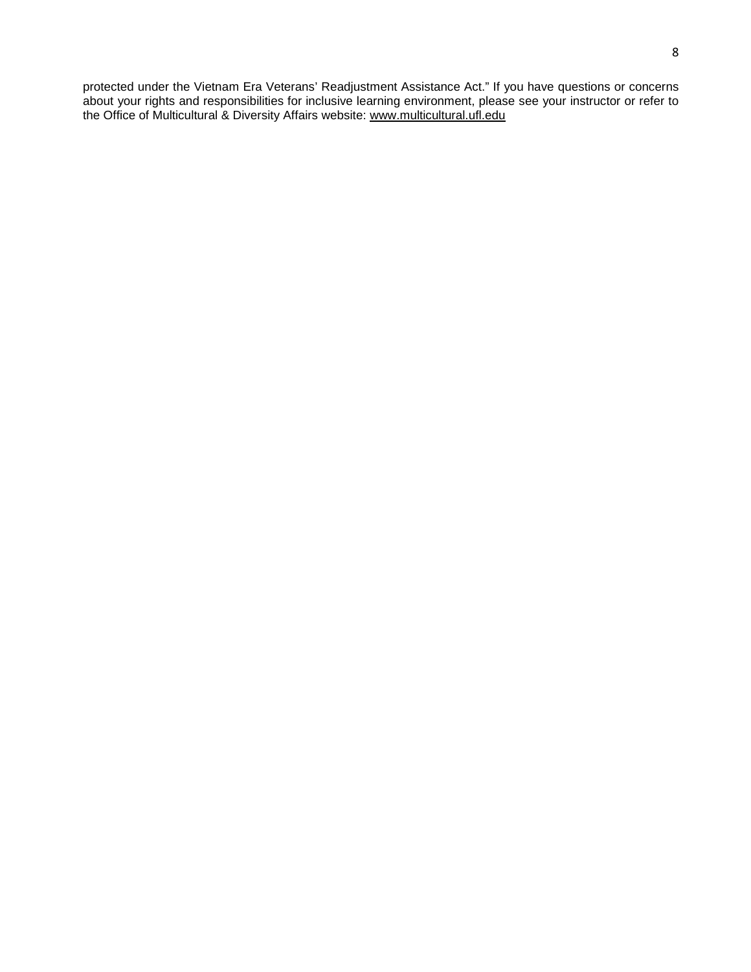protected under the Vietnam Era Veterans' Readjustment Assistance Act." If you have questions or concerns about your rights and responsibilities for inclusive learning environment, please see your instructor or refer to the Office of Multicultural & Diversity Affairs website: [www.multicultural.ufl.edu](http://www.multicultural.ufl.edu/)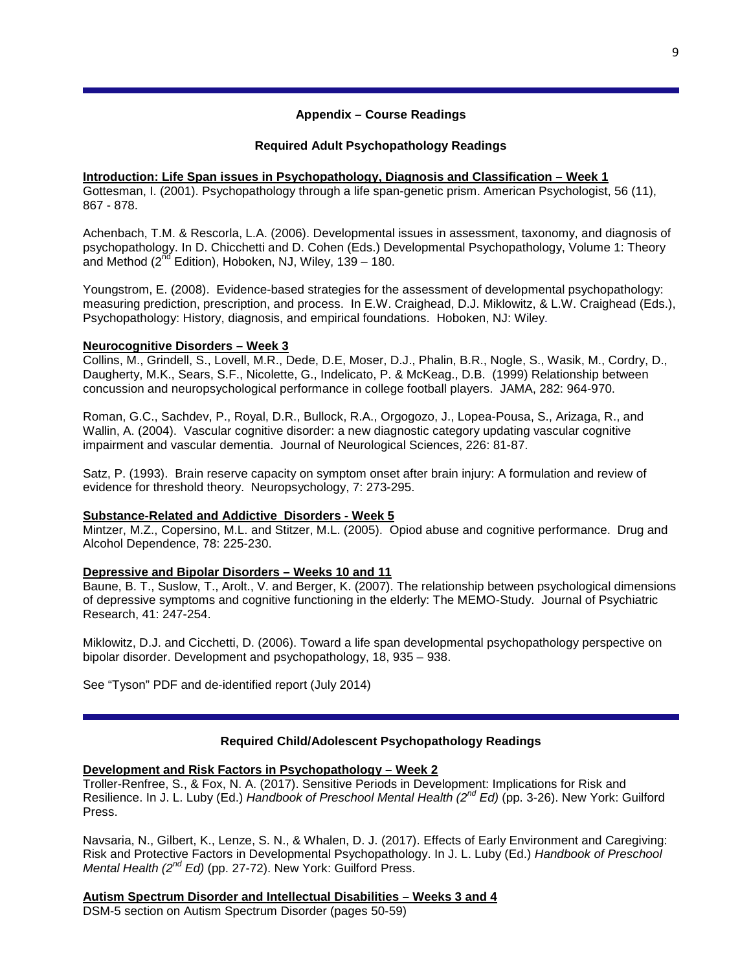## **Appendix – Course Readings**

## **Required Adult Psychopathology Readings**

## **Introduction: Life Span issues in Psychopathology, Diagnosis and Classification – Week 1** Gottesman, I. (2001). Psychopathology through a life span-genetic prism. American Psychologist, 56 (11), 867 - 878.

Achenbach, T.M. & Rescorla, L.A. (2006). Developmental issues in assessment, taxonomy, and diagnosis of psychopathology. In D. Chicchetti and D. Cohen (Eds.) Developmental Psychopathology, Volume 1: Theory and Method ( $2^{nd}$  Edition), Hoboken, NJ, Wiley, 139 – 180.

Youngstrom, E. (2008). Evidence-based strategies for the assessment of developmental psychopathology: measuring prediction, prescription, and process. In E.W. Craighead, D.J. Miklowitz, & L.W. Craighead (Eds.), Psychopathology: History, diagnosis, and empirical foundations. Hoboken, NJ: Wiley.

## **Neurocognitive Disorders – Week 3**

Collins, M., Grindell, S., Lovell, M.R., Dede, D.E, Moser, D.J., Phalin, B.R., Nogle, S., Wasik, M., Cordry, D., Daugherty, M.K., Sears, S.F., Nicolette, G., Indelicato, P. & McKeag., D.B. (1999) Relationship between concussion and neuropsychological performance in college football players. JAMA, 282: 964-970.

Roman, G.C., Sachdev, P., Royal, D.R., Bullock, R.A., Orgogozo, J., Lopea-Pousa, S., Arizaga, R., and Wallin, A. (2004). Vascular cognitive disorder: a new diagnostic category updating vascular cognitive impairment and vascular dementia. Journal of Neurological Sciences, 226: 81-87.

Satz, P. (1993). Brain reserve capacity on symptom onset after brain injury: A formulation and review of evidence for threshold theory. Neuropsychology, 7: 273-295.

## **Substance-Related and Addictive Disorders - Week 5**

Mintzer, M.Z., Copersino, M.L. and Stitzer, M.L. (2005). Opiod abuse and cognitive performance. Drug and Alcohol Dependence, 78: 225-230.

## **Depressive and Bipolar Disorders – Weeks 10 and 11**

Baune, B. T., Suslow, T., Arolt., V. and Berger, K. (2007). The relationship between psychological dimensions of depressive symptoms and cognitive functioning in the elderly: The MEMO-Study. Journal of Psychiatric Research, 41: 247-254.

Miklowitz, D.J. and Cicchetti, D. (2006). Toward a life span developmental psychopathology perspective on bipolar disorder. Development and psychopathology, 18, 935 – 938.

See "Tyson" PDF and de-identified report (July 2014)

# **Required Child/Adolescent Psychopathology Readings**

# **Development and Risk Factors in Psychopathology – Week 2**

Troller-Renfree, S., & Fox, N. A. (2017). Sensitive Periods in Development: Implications for Risk and Resilience. In J. L. Luby (Ed.) *Handbook of Preschool Mental Health (2nd Ed)* (pp. 3-26). New York: Guilford Press.

Navsaria, N., Gilbert, K., Lenze, S. N., & Whalen, D. J. (2017). Effects of Early Environment and Caregiving: Risk and Protective Factors in Developmental Psychopathology. In J. L. Luby (Ed.) *Handbook of Preschool Mental Health (2nd Ed)* (pp. 27-72). New York: Guilford Press.

**Autism Spectrum Disorder and Intellectual Disabilities – Weeks 3 and 4**

DSM-5 section on Autism Spectrum Disorder (pages 50-59)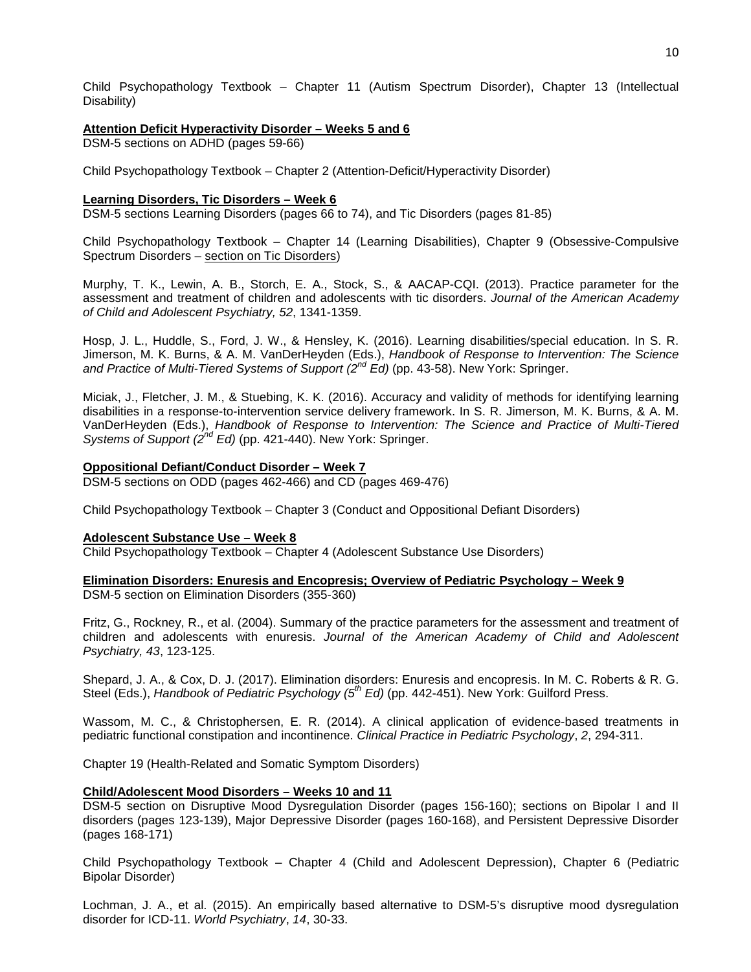Child Psychopathology Textbook – Chapter 11 (Autism Spectrum Disorder), Chapter 13 (Intellectual Disability)

### **Attention Deficit Hyperactivity Disorder – Weeks 5 and 6**

DSM-5 sections on ADHD (pages 59-66)

Child Psychopathology Textbook – Chapter 2 (Attention-Deficit/Hyperactivity Disorder)

### **Learning Disorders, Tic Disorders – Week 6**

DSM-5 sections Learning Disorders (pages 66 to 74), and Tic Disorders (pages 81-85)

Child Psychopathology Textbook – Chapter 14 (Learning Disabilities), Chapter 9 (Obsessive-Compulsive Spectrum Disorders – section on Tic Disorders)

Murphy, T. K., Lewin, A. B., Storch, E. A., Stock, S., & AACAP-CQI. (2013). Practice parameter for the assessment and treatment of children and adolescents with tic disorders. *Journal of the American Academy of Child and Adolescent Psychiatry, 52*, 1341-1359.

Hosp, J. L., Huddle, S., Ford, J. W., & Hensley, K. (2016). Learning disabilities/special education. In S. R. Jimerson, M. K. Burns, & A. M. VanDerHeyden (Eds.), *Handbook of Response to Intervention: The Science and Practice of Multi-Tiered Systems of Support (2nd Ed)* (pp. 43-58). New York: Springer.

Miciak, J., Fletcher, J. M., & Stuebing, K. K. (2016). Accuracy and validity of methods for identifying learning disabilities in a response-to-intervention service delivery framework. In S. R. Jimerson, M. K. Burns, & A. M. VanDerHeyden (Eds.), *Handbook of Response to Intervention: The Science and Practice of Multi-Tiered Systems of Support (2nd Ed)* (pp. 421-440). New York: Springer.

## **Oppositional Defiant/Conduct Disorder – Week 7**

DSM-5 sections on ODD (pages 462-466) and CD (pages 469-476)

Child Psychopathology Textbook – Chapter 3 (Conduct and Oppositional Defiant Disorders)

## **Adolescent Substance Use – Week 8**

Child Psychopathology Textbook – Chapter 4 (Adolescent Substance Use Disorders)

**Elimination Disorders: Enuresis and Encopresis; Overview of Pediatric Psychology – Week 9**  DSM-5 section on Elimination Disorders (355-360)

Fritz, G., Rockney, R., et al. (2004). Summary of the practice parameters for the assessment and treatment of children and adolescents with enuresis. *Journal of the American Academy of Child and Adolescent Psychiatry, 43*, 123-125.

Shepard, J. A., & Cox, D. J. (2017). Elimination disorders: Enuresis and encopresis. In M. C. Roberts & R. G. Steel (Eds.), *Handbook of Pediatric Psychology (5th Ed)* (pp. 442-451). New York: Guilford Press.

Wassom, M. C., & Christophersen, E. R. (2014). A clinical application of evidence-based treatments in pediatric functional constipation and incontinence. *Clinical Practice in Pediatric Psychology*, *2*, 294-311.

Chapter 19 (Health-Related and Somatic Symptom Disorders)

## **Child/Adolescent Mood Disorders – Weeks 10 and 11**

DSM-5 section on Disruptive Mood Dysregulation Disorder (pages 156-160); sections on Bipolar I and II disorders (pages 123-139), Major Depressive Disorder (pages 160-168), and Persistent Depressive Disorder (pages 168-171)

Child Psychopathology Textbook – Chapter 4 (Child and Adolescent Depression), Chapter 6 (Pediatric Bipolar Disorder)

Lochman, J. A., et al. (2015). An empirically based alternative to DSM-5's disruptive mood dysregulation disorder for ICD-11. *World Psychiatry*, *14*, 30-33.